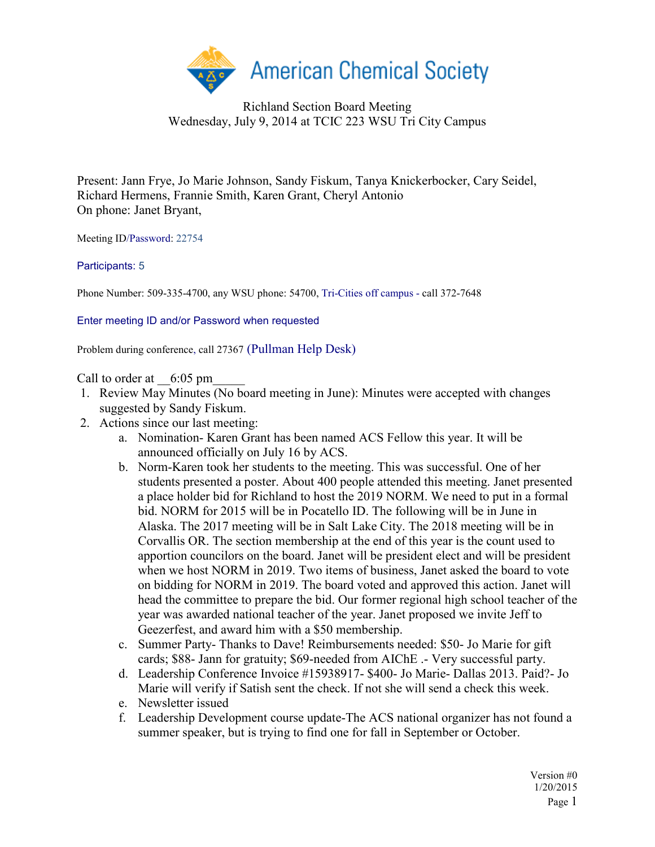

Richland Section Board Meeting Wednesday, July 9, 2014 at TCIC 223 WSU Tri City Campus

Present: Jann Frye, Jo Marie Johnson, Sandy Fiskum, Tanya Knickerbocker, Cary Seidel, Richard Hermens, Frannie Smith, Karen Grant, Cheryl Antonio On phone: Janet Bryant,

Meeting ID/Password: 22754

## Participants: 5

Phone Number: 509-335-4700, any WSU phone: 54700, Tri-Cities off campus - call 372-7648

Enter meeting ID and/or Password when requested

Problem during conference, call 27367 (Pullman Help Desk)

Call to order at  $6:05 \text{ pm}$ 

- 1. Review May Minutes (No board meeting in June): Minutes were accepted with changes suggested by Sandy Fiskum.
- 2. Actions since our last meeting:
	- a. Nomination- Karen Grant has been named ACS Fellow this year. It will be announced officially on July 16 by ACS.
	- b. Norm-Karen took her students to the meeting. This was successful. One of her students presented a poster. About 400 people attended this meeting. Janet presented a place holder bid for Richland to host the 2019 NORM. We need to put in a formal bid. NORM for 2015 will be in Pocatello ID. The following will be in June in Alaska. The 2017 meeting will be in Salt Lake City. The 2018 meeting will be in Corvallis OR. The section membership at the end of this year is the count used to apportion councilors on the board. Janet will be president elect and will be president when we host NORM in 2019. Two items of business, Janet asked the board to vote on bidding for NORM in 2019. The board voted and approved this action. Janet will head the committee to prepare the bid. Our former regional high school teacher of the year was awarded national teacher of the year. Janet proposed we invite Jeff to Geezerfest, and award him with a \$50 membership.
	- c. Summer Party- Thanks to Dave! Reimbursements needed: \$50- Jo Marie for gift cards; \$88- Jann for gratuity; \$69-needed from AIChE .- Very successful party.
	- d. Leadership Conference Invoice #15938917- \$400- Jo Marie- Dallas 2013. Paid?- Jo Marie will verify if Satish sent the check. If not she will send a check this week.
	- e. Newsletter issued
	- f. Leadership Development course update-The ACS national organizer has not found a summer speaker, but is trying to find one for fall in September or October.

Version #0 1/20/2015 Page 1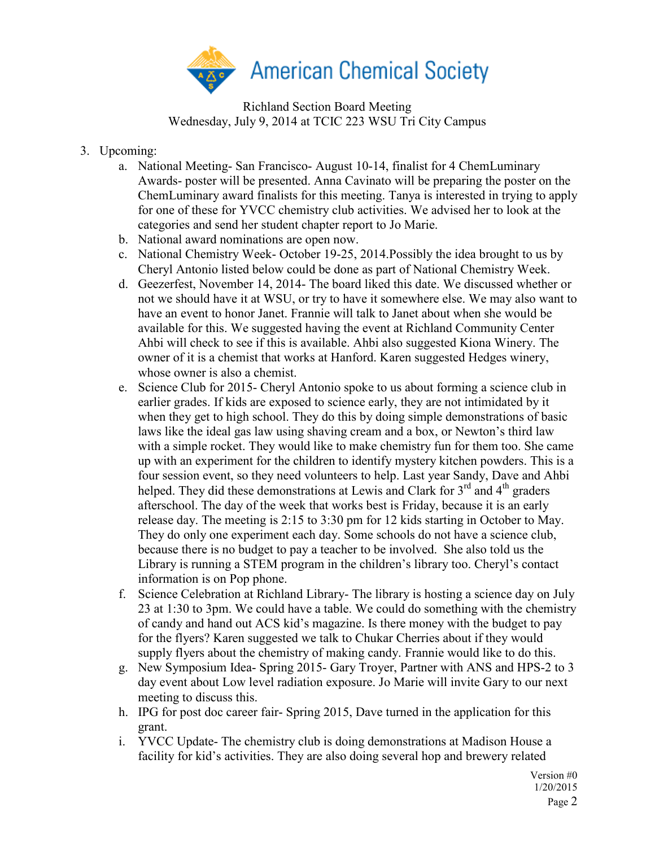

Richland Section Board Meeting Wednesday, July 9, 2014 at TCIC 223 WSU Tri City Campus

- 3. Upcoming:
	- a. National Meeting- San Francisco- August 10-14, finalist for 4 ChemLuminary Awards- poster will be presented. Anna Cavinato will be preparing the poster on the ChemLuminary award finalists for this meeting. Tanya is interested in trying to apply for one of these for YVCC chemistry club activities. We advised her to look at the categories and send her student chapter report to Jo Marie.
	- b. National award nominations are open now.
	- c. National Chemistry Week- October 19-25, 2014.Possibly the idea brought to us by Cheryl Antonio listed below could be done as part of National Chemistry Week.
	- d. Geezerfest, November 14, 2014- The board liked this date. We discussed whether or not we should have it at WSU, or try to have it somewhere else. We may also want to have an event to honor Janet. Frannie will talk to Janet about when she would be available for this. We suggested having the event at Richland Community Center Ahbi will check to see if this is available. Ahbi also suggested Kiona Winery. The owner of it is a chemist that works at Hanford. Karen suggested Hedges winery, whose owner is also a chemist.
	- e. Science Club for 2015- Cheryl Antonio spoke to us about forming a science club in earlier grades. If kids are exposed to science early, they are not intimidated by it when they get to high school. They do this by doing simple demonstrations of basic laws like the ideal gas law using shaving cream and a box, or Newton's third law with a simple rocket. They would like to make chemistry fun for them too. She came up with an experiment for the children to identify mystery kitchen powders. This is a four session event, so they need volunteers to help. Last year Sandy, Dave and Ahbi helped. They did these demonstrations at Lewis and Clark for  $3<sup>rd</sup>$  and  $4<sup>th</sup>$  graders afterschool. The day of the week that works best is Friday, because it is an early release day. The meeting is 2:15 to 3:30 pm for 12 kids starting in October to May. They do only one experiment each day. Some schools do not have a science club, because there is no budget to pay a teacher to be involved. She also told us the Library is running a STEM program in the children's library too. Cheryl's contact information is on Pop phone.
	- f. Science Celebration at Richland Library- The library is hosting a science day on July 23 at 1:30 to 3pm. We could have a table. We could do something with the chemistry of candy and hand out ACS kid's magazine. Is there money with the budget to pay for the flyers? Karen suggested we talk to Chukar Cherries about if they would supply flyers about the chemistry of making candy. Frannie would like to do this.
	- g. New Symposium Idea- Spring 2015- Gary Troyer, Partner with ANS and HPS-2 to 3 day event about Low level radiation exposure. Jo Marie will invite Gary to our next meeting to discuss this.
	- h. IPG for post doc career fair- Spring 2015, Dave turned in the application for this grant.
	- i. YVCC Update- The chemistry club is doing demonstrations at Madison House a facility for kid's activities. They are also doing several hop and brewery related